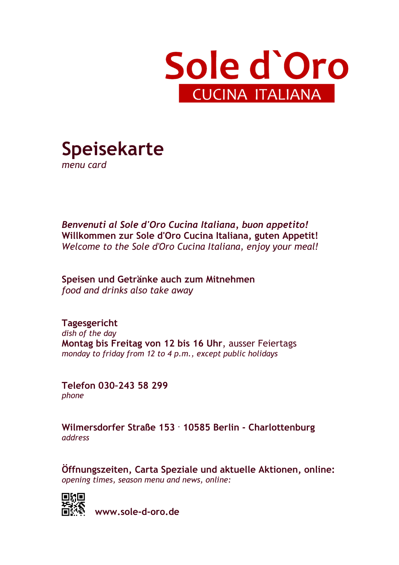



*Benvenuti al Sole d'Oro Cucina Italiana, buon appetito!*  **Willkommen zur Sole d'Oro Cucina Italiana, guten Appetit!**  *Welcome to the Sole d'Oro Cucina Italiana, enjoy your meal!* 

**Speisen und Getränke auch zum Mitnehmen**  *food and drinks also take away*

**Tagesgericht**  *dish of the day*  **Montag bis Freitag von 12 bis 16 Uhr**, ausser Feiertags *monday to friday from 12 to 4 p.m., except public holidays*

**Telefon 030–243 58 299**  *phone*

**Wilmersdorfer Straße 153 . 10585 Berlin - Charlottenburg**  *address* 

**Öffnungszeiten, Carta Speziale und aktuelle Aktionen, online:**  *opening times, season menu and news, online:* 



**www.sole-d-oro.de**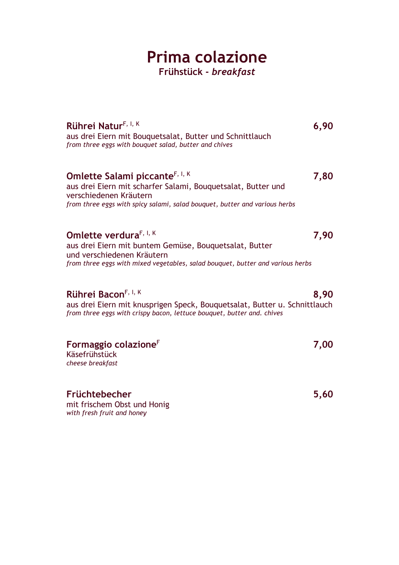### **Prima colazione Frühstück -** *breakfast*

| Rührei Natur <sup>F, I, K</sup><br>aus drei Eiern mit Bouquetsalat, Butter und Schnittlauch<br>from three eggs with bouquet salad, butter and chives                                                               | 6,90 |
|--------------------------------------------------------------------------------------------------------------------------------------------------------------------------------------------------------------------|------|
| Omlette Salami piccante <sup>F, I, K</sup><br>aus drei Eiern mit scharfer Salami, Bouquetsalat, Butter und<br>verschiedenen Kräutern<br>from three eggs with spicy salami, salad bouquet, butter and various herbs | 7,80 |
| Omlette verdura <sup>F, I, K</sup><br>aus drei Eiern mit buntem Gemüse, Bouquetsalat, Butter<br>und verschiedenen Kräutern<br>from three eggs with mixed vegetables, salad bouquet, butter and various herbs       | 7,90 |
| Rührei Bacon <sup>F, I, K</sup><br>aus drei Eiern mit knusprigen Speck, Bouquetsalat, Butter u. Schnittlauch<br>from three eggs with crispy bacon, lettuce bouquet, butter and. chives                             | 8,90 |
| Formaggio colazione <sup>F</sup><br>Käsefrühstück<br>cheese breakfast                                                                                                                                              | 7,00 |
| Früchtebecher<br>mit frischem Obst und Honig<br>with fresh fruit and honey                                                                                                                                         | 5,60 |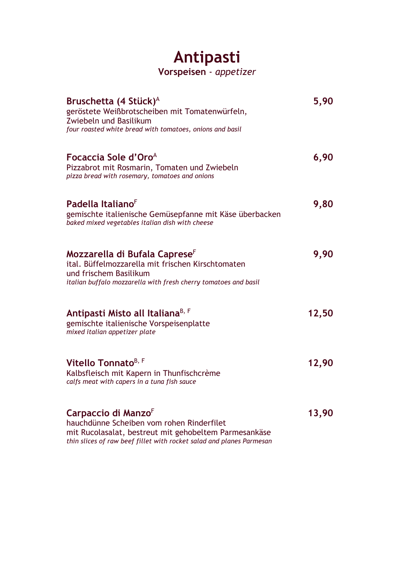### **Antipasti Vorspeisen** - *appetizer*

| Bruschetta (4 Stück) <sup>A</sup><br>geröstete Weißbrotscheiben mit Tomatenwürfeln,<br>Zwiebeln und Basilikum<br>four roasted white bread with tomatoes, onions and basil                   | 5,90  |
|---------------------------------------------------------------------------------------------------------------------------------------------------------------------------------------------|-------|
| Focaccia Sole d'Oro <sup>A</sup><br>Pizzabrot mit Rosmarin, Tomaten und Zwiebeln<br>pizza bread with rosemary, tomatoes and onions                                                          | 6,90  |
| Padella Italiano <sup>F</sup><br>gemischte italienische Gemüsepfanne mit Käse überbacken<br>baked mixed vegetables italian dish with cheese                                                 | 9,80  |
| Mozzarella di Bufala Caprese <sup>F</sup><br>ital. Büffelmozzarella mit frischen Kirschtomaten<br>und frischem Basilikum<br>italian buffalo mozzarella with fresh cherry tomatoes and basil | 9,90  |
| Antipasti Misto all Italiana <sup>B, F</sup><br>gemischte italienische Vorspeisenplatte<br>mixed italian appetizer plate                                                                    | 12,50 |
| Vitello Tonnato <sup>B, F</sup><br>Kalbsfleisch mit Kapern in Thunfischcrème<br>calfs meat with capers in a tuna fish sauce                                                                 | 12,90 |
| Carpaccio di Manzo <sup>F</sup><br>hauchdünne Scheiben vom rohen Rinderfilet<br>mit Rucolasalat, bestreut mit gehobeltem Parmesankäse                                                       | 13,90 |

*thin slices of raw beef fillet with rocket salad and planes Parmesan*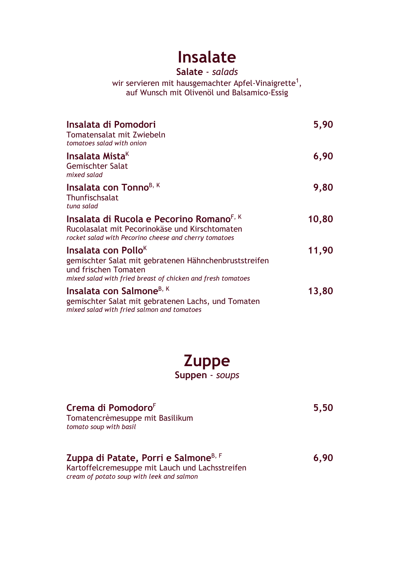# **Insalate**

#### **Salate** - *salads*

wir servieren mit hausgemachter Apfel-Vinaigrette $^{\rm 1},$ auf Wunsch mit Olivenöl und Balsamico-Essig

| Insalata di Pomodori<br>Tomatensalat mit Zwiebeln<br>tomatoes salad with onion                                                                                                  | 5,90  |
|---------------------------------------------------------------------------------------------------------------------------------------------------------------------------------|-------|
| Insalata Mista <sup>K</sup><br><b>Gemischter Salat</b><br>mixed salad                                                                                                           | 6,90  |
| Insalata con Tonno <sup>B, K</sup><br>Thunfischsalat<br>tuna salad                                                                                                              | 9,80  |
| Insalata di Rucola e Pecorino Romano <sup>F, K</sup><br>Rucolasalat mit Pecorinokäse und Kirschtomaten<br>rocket salad with Pecorino cheese and cherry tomatoes                 | 10,80 |
| Insalata con Pollo <sup>K</sup><br>gemischter Salat mit gebratenen Hähnchenbruststreifen<br>und frischen Tomaten<br>mixed salad with fried breast of chicken and fresh tomatoes | 11,90 |
| Insalata con Salmone <sup>B, K</sup><br>gemischter Salat mit gebratenen Lachs, und Tomaten<br>mixed salad with fried salmon and tomatoes                                        | 13,80 |

# **Zuppe**

**Suppen** - *soups*

| Crema di Pomodoro <sup>F</sup>                                                                      | 5,50 |
|-----------------------------------------------------------------------------------------------------|------|
| Tomatencrèmesuppe mit Basilikum<br>tomato soup with basil                                           |      |
|                                                                                                     |      |
|                                                                                                     |      |
|                                                                                                     |      |
| Zuppa di Patate, Porri e Salmone <sup>B, F</sup><br>Kartoffelcremesuppe mit Lauch und Lachsstreifen | 6,90 |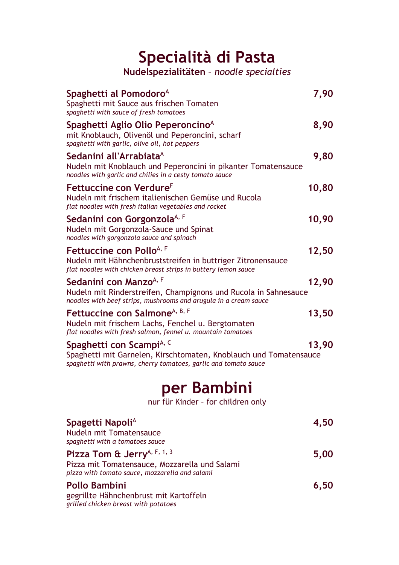# **Specialità di Pasta**

**Nudelspezialitäten** – *noodle specialties*

| Spaghetti al Pomodoro <sup>A</sup><br>Spaghetti mit Sauce aus frischen Tomaten<br>spaghetti with sauce of fresh tomatoes                                                     | 7,90  |
|------------------------------------------------------------------------------------------------------------------------------------------------------------------------------|-------|
| Spaghetti Aglio Olio Peperoncino <sup>A</sup><br>mit Knoblauch, Olivenöl und Peperoncini, scharf<br>spaghetti with garlic, olive oil, hot peppers                            | 8,90  |
| Sedanini all'Arrabiata <sup>A</sup><br>Nudeln mit Knoblauch und Peperoncini in pikanter Tomatensauce<br>noodles with garlic and chilies in a cesty tomato sauce              | 9,80  |
| Fettuccine con Verdure <sup>F</sup><br>Nudeln mit frischem italienischen Gemüse und Rucola<br>flat noodles with fresh italian vegetables and rocket                          | 10,80 |
| Sedanini con Gorgonzola <sup>A, F</sup><br>Nudeln mit Gorgonzola-Sauce und Spinat<br>noodles with gorgonzola sauce and spinach                                               | 10,90 |
| Fettuccine con Pollo <sup>A, F</sup><br>Nudeln mit Hähnchenbruststreifen in buttriger Zitronensauce<br>flat noodles with chicken breast strips in buttery lemon sauce        | 12,50 |
| Sedanini con Manzo <sup>A, F</sup><br>Nudeln mit Rinderstreifen, Champignons und Rucola in Sahnesauce<br>noodles with beef strips, mushrooms and arugula in a cream sauce    | 12,90 |
| Fettuccine con Salmone <sup>A, B, F</sup><br>Nudeln mit frischem Lachs, Fenchel u. Bergtomaten<br>flat noodles with fresh salmon, fennel u. mountain tomatoes                | 13,50 |
| Spaghetti con Scampi <sup>A, C</sup><br>Spaghetti mit Garnelen, Kirschtomaten, Knoblauch und Tomatensauce<br>spaghetti with prawns, cherry tomatoes, garlic and tomato sauce | 13,90 |
| D.                                                                                                                                                                           |       |

### **per Bambini**

nur für Kinder – for children only

| Spagetti Napoli <sup>A</sup>                                                                                                               | 4,50 |
|--------------------------------------------------------------------------------------------------------------------------------------------|------|
| Nudeln mit Tomatensauce<br>spaghetti with a tomatoes sauce                                                                                 |      |
| Pizza Tom & Jerry <sup>A, F, 1, 3</sup><br>Pizza mit Tomatensauce, Mozzarella und Salami<br>pizza with tomato sauce, mozzarella and salami | 5,00 |
| <b>Pollo Bambini</b><br>gegrillte Hähnchenbrust mit Kartoffeln<br>grilled chicken breast with potatoes                                     | 6,50 |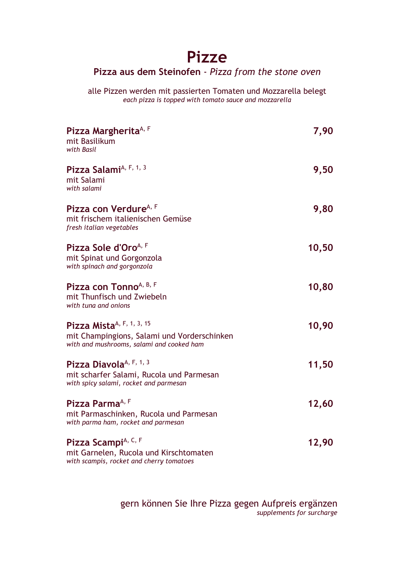### **Pizze**

#### **Pizza aus dem Steinofen** - *Pizza from the stone oven*

alle Pizzen werden mit passierten Tomaten und Mozzarella belegt *each pizza is topped with tomato sauce and mozzarella*

| Pizza Margherita <sup>A, F</sup><br>mit Basilikum<br>with Basil                                                                   | 7,90  |
|-----------------------------------------------------------------------------------------------------------------------------------|-------|
| Pizza Salami <sup>A, F, 1, 3</sup><br>mit Salami<br>with salami                                                                   | 9,50  |
| Pizza con Verdure <sup>A, F</sup><br>mit frischem italienischen Gemüse<br>fresh italian vegetables                                | 9,80  |
| Pizza Sole d'Oro <sup>A, F</sup><br>mit Spinat und Gorgonzola<br>with spinach and gorgonzola                                      | 10,50 |
| Pizza con Tonno <sup>A, B, F</sup><br>mit Thunfisch und Zwiebeln<br>with tuna and onions                                          | 10,80 |
| Pizza Mista <sup>A, F, 1, 3, 15</sup><br>mit Champingions, Salami und Vorderschinken<br>with and mushrooms, salami and cooked ham | 10,90 |
| Pizza Diavola <sup>A, F, 1, 3</sup><br>mit scharfer Salami, Rucola und Parmesan<br>with spicy salami, rocket and parmesan         | 11,50 |
| Pizza Parma <sup>A, F</sup><br>mit Parmaschinken, Rucola und Parmesan<br>with parma ham, rocket and parmesan                      | 12,60 |
| Pizza Scampi <sup>A, C, F</sup><br>mit Garnelen, Rucola und Kirschtomaten<br>with scampis, rocket and cherry tomatoes             | 12,90 |

gern können Sie Ihre Pizza gegen Aufpreis ergänzen *supplements for surcharge*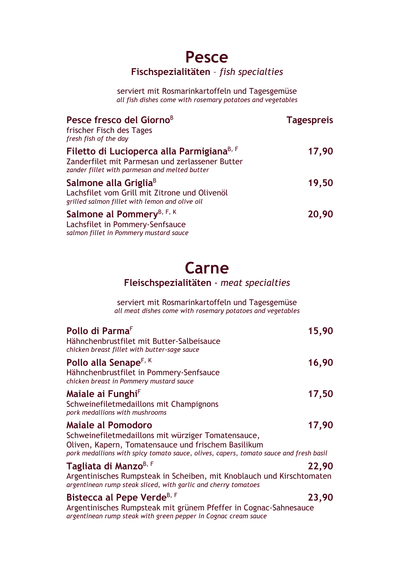### **Pesce Fischspezialitäten** – *fish specialties*

serviert mit Rosmarinkartoffeln und Tagesgemüse *all fish dishes come with rosemary potatoes and vegetables*

| Pesce fresco del Giorno <sup>B</sup><br>frischer Fisch des Tages<br>fresh fish of the day                                                                 | <b>Tagespreis</b> |
|-----------------------------------------------------------------------------------------------------------------------------------------------------------|-------------------|
| Filetto di Lucioperca alla Parmigiana <sup>B, F</sup><br>Zanderfilet mit Parmesan und zerlassener Butter<br>zander fillet with parmesan and melted butter | 17,90             |
| Salmone alla Griglia <sup>B</sup><br>Lachsfilet vom Grill mit Zitrone und Olivenöl<br>grilled salmon fillet with lemon and olive oil                      | 19,50             |
| Salmone al Pommery <sup>B, F, K</sup><br>Lachsfilet in Pommery-Senfsauce<br>salmon fillet in Pommery mustard sauce                                        | 20,90             |

## **Carne**

#### **Fleischspezialitäten** - *meat specialties*

serviert mit Rosmarinkartoffeln und Tagesgemüse *all meat dishes come with rosemary potatoes and vegetables*

| Pollo di Parma <sup>F</sup><br>Hähnchenbrustfilet mit Butter-Salbeisauce<br>chicken breast fillet with butter-sage sauce                                                                                                        | 15,90 |
|---------------------------------------------------------------------------------------------------------------------------------------------------------------------------------------------------------------------------------|-------|
| Pollo alla Senape <sup>F, K</sup><br>Hähnchenbrustfilet in Pommery-Senfsauce<br>chicken breast in Pommery mustard sauce                                                                                                         | 16,90 |
| Maiale ai Funghi <sup>F</sup><br>Schweinefiletmedaillons mit Champignons<br>pork medallions with mushrooms                                                                                                                      | 17,50 |
| <b>Maiale al Pomodoro</b><br>Schweinefiletmedaillons mit würziger Tomatensauce,<br>Oliven, Kapern, Tomatensauce und frischem Basilikum<br>pork medallions with spicy tomato sauce, olives, capers, tomato sauce and fresh basil | 17,90 |
| Tagliata di Manzo <sup>B, F</sup><br>Argentinisches Rumpsteak in Scheiben, mit Knoblauch und Kirschtomaten<br>argentinean rump steak sliced, with garlic and cherry tomatoes                                                    | 22,90 |
| Bistecca al Pepe Verde <sup>B, F</sup><br>Argentinisches Rumpsteak mit grünem Pfeffer in Cognac-Sahnesauce<br>argentinean rump steak with green pepper in Cognac cream sauce                                                    | 23,90 |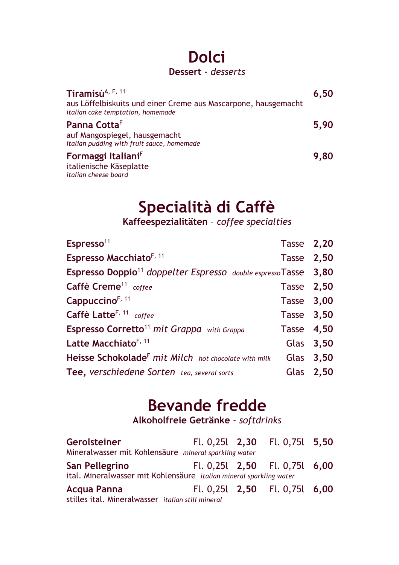### **Dolci Dessert** - *desserts*

| Tiramisù $A$ , F, 11                                                                                | 6,50 |
|-----------------------------------------------------------------------------------------------------|------|
| aus Löffelbiskuits und einer Creme aus Mascarpone, hausgemacht<br>italian cake temptation, homemade |      |
| Panna Cotta <sup>F</sup>                                                                            | 5,90 |
| auf Mangospiegel, hausgemacht                                                                       |      |
| italian pudding with fruit sauce, homemade                                                          |      |
| Formaggi Italiani <sup>F</sup>                                                                      | 9,80 |
| italienische Käseplatte                                                                             |      |
| italian cheese board                                                                                |      |

# **Specialità di Caffè**

**Kaffeespezialitäten** – *coffee specialties*

| Espresso <sup>11</sup>                                                      | Tasse 2,20 |           |
|-----------------------------------------------------------------------------|------------|-----------|
| <b>Espresso Macchiato<sup>F, 11</sup></b>                                   | Tasse 2,50 |           |
| Espresso Doppio <sup>11</sup> doppelter Espresso double espresso Tasse 3,80 |            |           |
| Caffè Creme <sup>11</sup> coffee                                            | Tasse 2,50 |           |
| Cappuccino <sup>F, 11</sup>                                                 | Tasse 3,00 |           |
| Caffè Latte <sup>F, 11</sup> coffee                                         | Tasse 3,50 |           |
| <b>Espresso Corretto<sup>11</sup> mit Grappa</b> with Grappa                | Tasse 4,50 |           |
| Latte Macchiato <sup>F, 11</sup>                                            |            | Glas 3,50 |
| Heisse Schokolade <sup>F</sup> mit Milch hot chocolate with milk            |            | Glas 3,50 |
| Tee, verschiedene Sorten tea, several sorts                                 |            | Glas 2,50 |

## **Bevande fredde**

**Alkoholfreie Getränke** - *softdrinks*

| <b>Gerolsteiner</b>                                                 |  | Fl. 0,25l 2,30 Fl. 0,75l 5,50     |  |
|---------------------------------------------------------------------|--|-----------------------------------|--|
| Mineralwasser mit Kohlensäure mineral sparkling water               |  |                                   |  |
| San Pellegrino                                                      |  | FL. 0,25L $2,50$ FL. 0,75L $6,00$ |  |
| ital. Mineralwasser mit Kohlensäure italian mineral sparkling water |  |                                   |  |
| Acqua Panna                                                         |  | Fl. 0,25l $2,50$ Fl. 0,75l $6,00$ |  |
| stilles ital. Mineralwasser italian still mineral                   |  |                                   |  |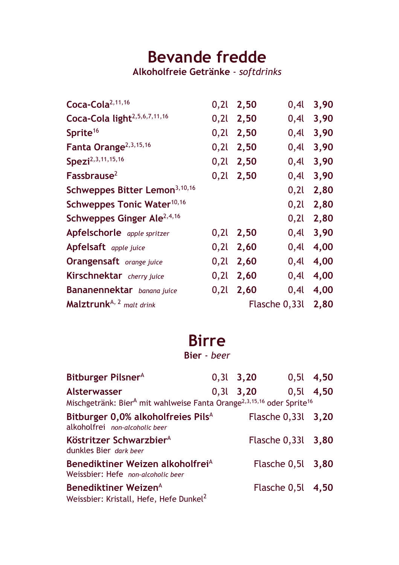# **Bevande fredde**

**Alkoholfreie Getränke** - *softdrinks*

| Coca-Cola <sup>2,11,16</sup>              | 0,21 | 2,50 | 0,4           | 3,90 |
|-------------------------------------------|------|------|---------------|------|
| Coca-Cola light <sup>2,5,6,7,11,16</sup>  | 0,2l | 2,50 | 0,4l          | 3,90 |
| Sprite <sup>16</sup>                      | 0,2l | 2,50 | 0,4l          | 3,90 |
| Fanta Orange <sup>2,3,15,16</sup>         | 0,2l | 2,50 | $0,4$ l       | 3,90 |
| Spezi <sup>2,3,11,15,16</sup>             | 0,2l | 2,50 | 0,4           | 3,90 |
| Fassbrause <sup>2</sup>                   | 0,2l | 2,50 | $0,4$ l       | 3,90 |
| Schweppes Bitter Lemon <sup>3,10,16</sup> |      |      | 0,2l          | 2,80 |
| Schweppes Tonic Water <sup>10,16</sup>    |      |      | 0,2l          | 2,80 |
| Schweppes Ginger Ale <sup>2,4,16</sup>    |      |      | 0,21          | 2,80 |
| Apfelschorle apple spritzer               | 0,2l | 2,50 | 0,4           | 3,90 |
| Apfelsaft apple juice                     | 0,2l | 2,60 | 0,4           | 4,00 |
| <b>Orangensaft</b> orange juice           | 0,2l | 2,60 | 0,4           | 4,00 |
| Kirschnektar cherry juice                 | 0,2l | 2,60 | 0,4l          | 4,00 |
| Bananennektar banana juice                | 0,2l | 2,60 | 0,4           | 4,00 |
| Malztrunk <sup>A, 2</sup> malt drink      |      |      | Flasche 0,33l | 2,80 |

### **Birre**

**Bier** - *beer*

| Bitburger Pilsner <sup>A</sup>                                                                                            | $0,31$ 3,20 |                        | $0,5$ , 4,50   |
|---------------------------------------------------------------------------------------------------------------------------|-------------|------------------------|----------------|
| Alsterwasser<br>Mischgetränk: Bier <sup>A</sup> mit wahlweise Fanta Orange <sup>2,3,15,16</sup> oder Sprite <sup>16</sup> | $0,31$ 3,20 |                        | $0,5$ l $4,50$ |
| Bitburger 0,0% alkoholfreies Pils <sup>A</sup><br>alkoholfrei non-alcoholic beer                                          |             | Flasche 0,331 3,20     |                |
| Köstritzer Schwarzbier <sup>A</sup><br>dunkles Bier dark beer                                                             |             | Flasche 0,331 3,80     |                |
| Benediktiner Weizen alkoholfrei <sup>A</sup><br>Weissbier: Hefe non-alcoholic beer                                        |             | Flasche 0,51 3,80      |                |
| Benediktiner Weizen <sup>A</sup><br>Weissbier: Kristall, Hefe, Hefe Dunkel <sup>2</sup>                                   |             | Flasche $0,5$ l $4,50$ |                |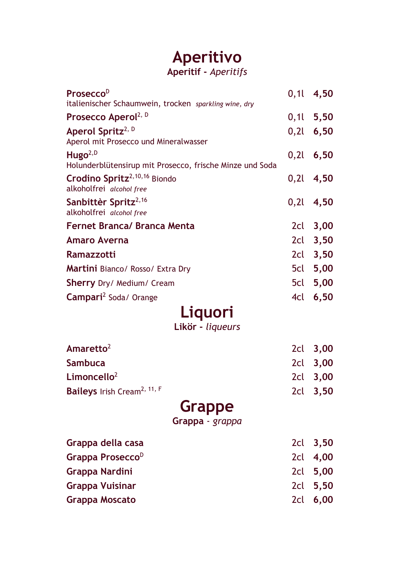# **Aperitivo**

#### **Aperitif -** *Aperitifs*

| Prosecco <sup>D</sup>                                                           |     | $0,11$ 4,50 |
|---------------------------------------------------------------------------------|-----|-------------|
| italienischer Schaumwein, trocken sparkling wine, dry                           |     |             |
| Prosecco Aperol <sup>2, D</sup>                                                 |     | $0,11$ 5,50 |
| Aperol Spritz <sup>2, D</sup><br>Aperol mit Prosecco und Mineralwasser          |     | $0,21$ 6,50 |
| Hugo <sup>2,D</sup><br>Holunderblütensirup mit Prosecco, frische Minze und Soda |     | $0,21$ 6,50 |
| Crodino Spritz <sup>2,10,16</sup> Biondo<br>alkoholfrei alcohol free            |     | $0,21$ 4,50 |
| Sanbittèr Spritz <sup>2,16</sup><br>alkoholfrei alcohol free                    |     | $0,21$ 4,50 |
| <b>Fernet Branca/ Branca Menta</b>                                              |     | 2cl 3,00    |
| <b>Amaro Averna</b>                                                             |     | 2cl 3,50    |
| Ramazzotti                                                                      |     | 2cl 3,50    |
| <b>Martini</b> Bianco/ Rosso/ Extra Dry                                         |     | 5cl 5,00    |
| <b>Sherry</b> Dry/ Medium/ Cream                                                |     | 5cl 5,00    |
| <b>Campari</b> <sup>2</sup> Soda/ Orange                                        | 4cl | 6,50        |
| Liquori                                                                         |     |             |
| Likör - liqueurs                                                                |     |             |
| Amaretto <sup>2</sup>                                                           |     | 2cl 3,00    |
| <b>Sambuca</b>                                                                  |     | 2cl 3,00    |
| Limoncello $2$                                                                  |     | 2cl 3,00    |
| Baileys Irish Cream <sup>2, 11, F</sup>                                         |     | 2cl 3,50    |
| <b>Grappe</b>                                                                   |     |             |
| Grappa - grappa                                                                 |     |             |
| Grappa della casa                                                               | 2cl | 3,50        |
| Grappa Prosecco <sup>D</sup>                                                    | 2cl | 4,00        |
| Grappa Nardini                                                                  | 2cl | 5,00        |
| <b>Grappa Vuisinar</b>                                                          | 2cl | 5,50        |
| <b>Grappa Moscato</b>                                                           | 2cl | 6,00        |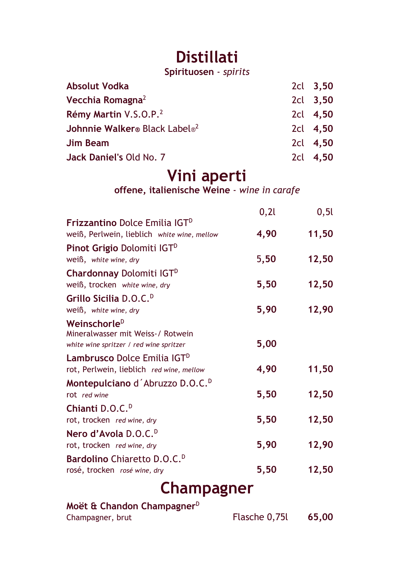# **Distillati**

**Spirituosen** - *spirits*

| <b>Absolut Vodka</b>                      | 2cl 3,50 |
|-------------------------------------------|----------|
| Vecchia Romagna <sup>2</sup>              | 2cl 3,50 |
| Rémy Martin V.S.O.P. <sup>2</sup>         | 2cl 4,50 |
| Johnnie Walker® Black Label® <sup>2</sup> | 2cl 4,50 |
| <b>Jim Beam</b>                           | 2cl 4,50 |
| Jack Daniel's Old No. 7                   | 2cl 4,50 |

## **Vini aperti**

**offene, italienische Weine** - *wine in carafe*

|                                                                                                          | 0,21 | 0, 5l |
|----------------------------------------------------------------------------------------------------------|------|-------|
| <b>Frizzantino Dolce Emilia IGTD</b><br>weiß, Perlwein, lieblich white wine, mellow                      | 4,90 | 11,50 |
| <b>Pinot Grigio Dolomiti IGTD</b><br>weiß, white wine, dry                                               | 5,50 | 12,50 |
| <b>Chardonnay Dolomiti IGTD</b><br>weiß, trocken white wine, dry                                         | 5,50 | 12,50 |
| Grillo Sicilia D.O.C. <sup>D</sup><br>weiß, white wine, dry                                              | 5,90 | 12,90 |
| Weinschorle <sup>D</sup><br>Mineralwasser mit Weiss-/ Rotwein<br>white wine spritzer / red wine spritzer | 5,00 |       |
| Lambrusco Dolce Emilia IGT <sup>D</sup><br>rot, Perlwein, lieblich red wine, mellow                      | 4,90 | 11,50 |
| Montepulciano d'Abruzzo D.O.C. <sup>D</sup><br>rot red wine                                              | 5,50 | 12,50 |
| Chianti D.O.C. <sup>D</sup><br>rot, trocken red wine, dry                                                | 5,50 | 12,50 |
| Nero d'Avola D.O.C. <sup>D</sup><br>rot, trocken red wine, dry                                           | 5,90 | 12,90 |
| Bardolino Chiaretto D.O.C. <sup>D</sup><br>rosé, trocken rosé wine, dry                                  | 5,50 | 12,50 |
| Champagner                                                                                               |      |       |
| Moët & Chandon Champagner <sup>D</sup>                                                                   |      |       |

| Flasche 0,75l<br>Champagner, brut |  |       |
|-----------------------------------|--|-------|
|                                   |  | 65,00 |